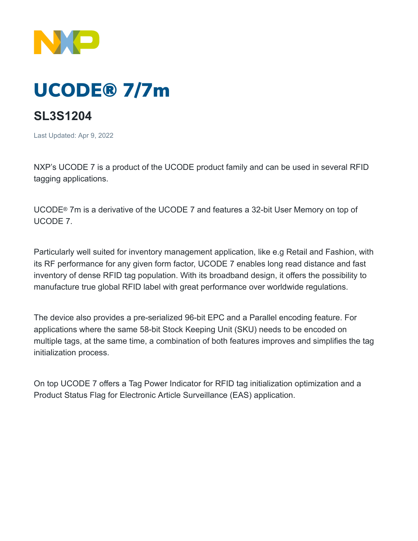

## UCODE® 7/7m

## **SL3S1204**

Last Updated: Apr 9, 2022

NXP's UCODE 7 is a product of the UCODE product family and can be used in several RFID tagging applications.

UCODE® 7m is a derivative of the UCODE 7 and features a 32-bit User Memory on top of UCODE 7.

Particularly well suited for inventory management application, like e.g Retail and Fashion, with its RF performance for any given form factor, UCODE 7 enables long read distance and fast inventory of dense RFID tag population. With its broadband design, it offers the possibility to manufacture true global RFID label with great performance over worldwide regulations.

The device also provides a pre-serialized 96-bit EPC and a Parallel encoding feature. For applications where the same 58-bit Stock Keeping Unit (SKU) needs to be encoded on multiple tags, at the same time, a combination of both features improves and simplifies the tag initialization process.

On top UCODE 7 offers a Tag Power Indicator for RFID tag initialization optimization and a Product Status Flag for Electronic Article Surveillance (EAS) application.